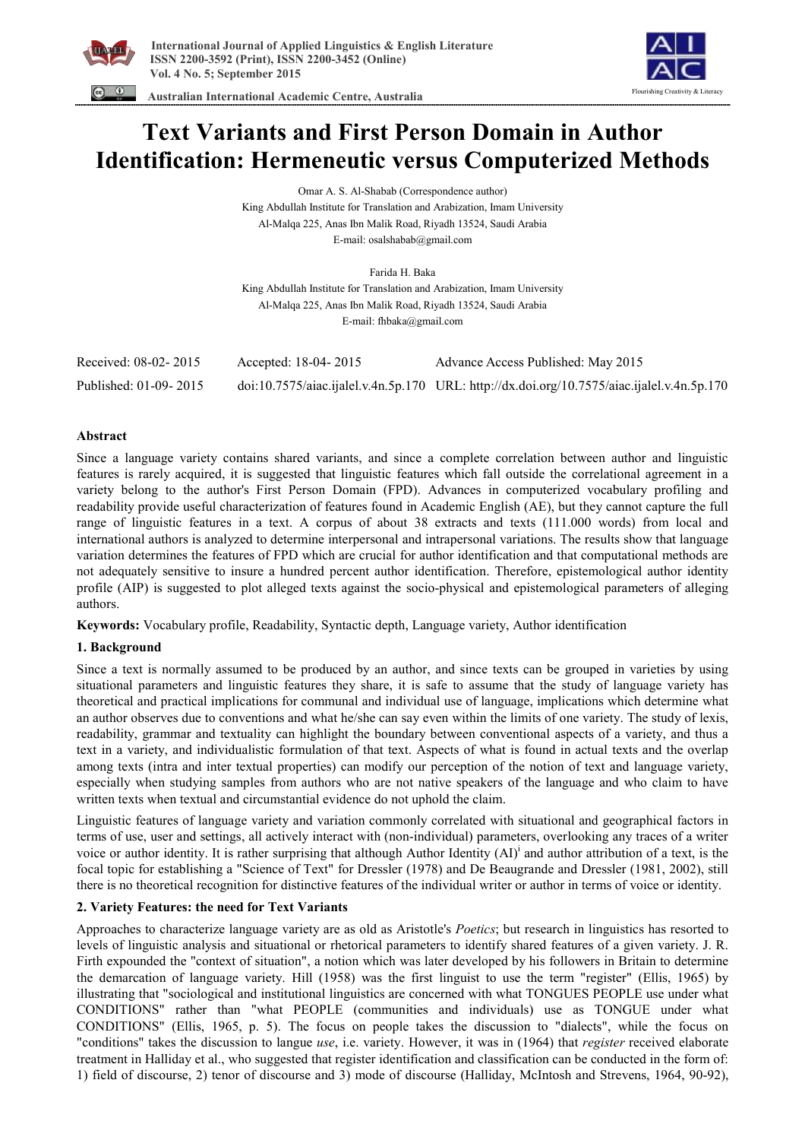



 **Australian International Academic Centre, Australia** 

# **Text Variants and First Person Domain in Author Identification: Hermeneutic versus Computerized Methods**

Omar A. S. Al-Shabab (Correspondence author) King Abdullah Institute for Translation and Arabization, Imam University Al-Malqa 225, Anas Ibn Malik Road, Riyadh 13524, Saudi Arabia E-mail: osalshabab@gmail.com

Farida H. Baka King Abdullah Institute for Translation and Arabization, Imam University Al-Malqa 225, Anas Ibn Malik Road, Riyadh 13524, Saudi Arabia E-mail: fhbaka@gmail.com

| Received: 08-02-2015  | Accepted: 18-04-2015 | Advance Access Published: May 2015                                                         |
|-----------------------|----------------------|--------------------------------------------------------------------------------------------|
| Published: 01-09-2015 |                      | doi:10.7575/aiac.ijalel.v.4n.5p.170 URL: http://dx.doi.org/10.7575/aiac.ijalel.v.4n.5p.170 |

# **Abstract**

Since a language variety contains shared variants, and since a complete correlation between author and linguistic features is rarely acquired, it is suggested that linguistic features which fall outside the correlational agreement in a variety belong to the author's First Person Domain (FPD). Advances in computerized vocabulary profiling and readability provide useful characterization of features found in Academic English (AE), but they cannot capture the full range of linguistic features in a text. A corpus of about 38 extracts and texts (111.000 words) from local and international authors is analyzed to determine interpersonal and intrapersonal variations. The results show that language variation determines the features of FPD which are crucial for author identification and that computational methods are not adequately sensitive to insure a hundred percent author identification. Therefore, epistemological author identity profile (AIP) is suggested to plot alleged texts against the socio-physical and epistemological parameters of alleging authors.

**Keywords:** Vocabulary profile, Readability, Syntactic depth, Language variety, Author identification

# **1. Background**

Since a text is normally assumed to be produced by an author, and since texts can be grouped in varieties by using situational parameters and linguistic features they share, it is safe to assume that the study of language variety has theoretical and practical implications for communal and individual use of language, implications which determine what an author observes due to conventions and what he/she can say even within the limits of one variety. The study of lexis, readability, grammar and textuality can highlight the boundary between conventional aspects of a variety, and thus a text in a variety, and individualistic formulation of that text. Aspects of what is found in actual texts and the overlap among texts (intra and inter textual properties) can modify our perception of the notion of text and language variety, especially when studying samples from authors who are not native speakers of the language and who claim to have written texts when textual and circumstantial evidence do not uphold the claim.

Linguistic features of language variety and variation commonly correlated with situational and geographical factors in terms of use, user and settings, all actively interact with (non-individual) parameters, overlooking any traces of a writer voice or author identity. It is rather surprising that although Author Identity  $(AI)^{i}$  and author attribution of a text, is the focal topic for establishing a "Science of Text" for Dressler (1978) and De Beaugrande and Dressler (1981, 2002), still there is no theoretical recognition for distinctive features of the individual writer or author in terms of voice or identity.

# **2. Variety Features: the need for Text Variants**

Approaches to characterize language variety are as old as Aristotle's *Poetics*; but research in linguistics has resorted to levels of linguistic analysis and situational or rhetorical parameters to identify shared features of a given variety. J. R. Firth expounded the "context of situation", a notion which was later developed by his followers in Britain to determine the demarcation of language variety. Hill (1958) was the first linguist to use the term "register" (Ellis, 1965) by illustrating that "sociological and institutional linguistics are concerned with what TONGUES PEOPLE use under what CONDITIONS" rather than "what PEOPLE (communities and individuals) use as TONGUE under what CONDITIONS" (Ellis, 1965, p. 5). The focus on people takes the discussion to "dialects", while the focus on "conditions" takes the discussion to langue *use*, i.e. variety. However, it was in (1964) that *register* received elaborate treatment in Halliday et al., who suggested that register identification and classification can be conducted in the form of: 1) field of discourse, 2) tenor of discourse and 3) mode of discourse (Halliday, McIntosh and Strevens, 1964, 90-92),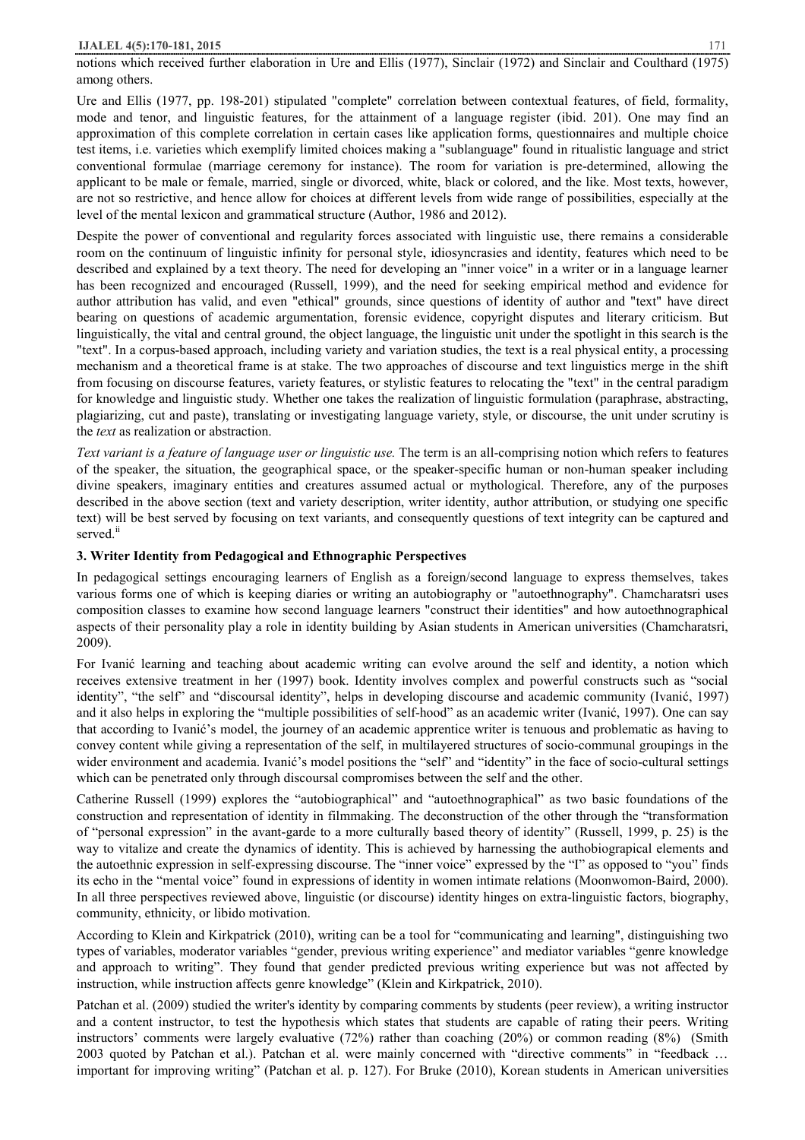notions which received further elaboration in Ure and Ellis (1977), Sinclair (1972) and Sinclair and Coulthard (1975) among others.

Ure and Ellis (1977, pp. 198-201) stipulated "complete" correlation between contextual features, of field, formality, mode and tenor, and linguistic features, for the attainment of a language register (ibid. 201). One may find an approximation of this complete correlation in certain cases like application forms, questionnaires and multiple choice test items, i.e. varieties which exemplify limited choices making a "sublanguage" found in ritualistic language and strict conventional formulae (marriage ceremony for instance). The room for variation is pre-determined, allowing the applicant to be male or female, married, single or divorced, white, black or colored, and the like. Most texts, however, are not so restrictive, and hence allow for choices at different levels from wide range of possibilities, especially at the level of the mental lexicon and grammatical structure (Author, 1986 and 2012).

Despite the power of conventional and regularity forces associated with linguistic use, there remains a considerable room on the continuum of linguistic infinity for personal style, idiosyncrasies and identity, features which need to be described and explained by a text theory. The need for developing an "inner voice" in a writer or in a language learner has been recognized and encouraged (Russell, 1999), and the need for seeking empirical method and evidence for author attribution has valid, and even "ethical" grounds, since questions of identity of author and "text" have direct bearing on questions of academic argumentation, forensic evidence, copyright disputes and literary criticism. But linguistically, the vital and central ground, the object language, the linguistic unit under the spotlight in this search is the "text". In a corpus-based approach, including variety and variation studies, the text is a real physical entity, a processing mechanism and a theoretical frame is at stake. The two approaches of discourse and text linguistics merge in the shift from focusing on discourse features, variety features, or stylistic features to relocating the "text" in the central paradigm for knowledge and linguistic study. Whether one takes the realization of linguistic formulation (paraphrase, abstracting, plagiarizing, cut and paste), translating or investigating language variety, style, or discourse, the unit under scrutiny is the *text* as realization or abstraction.

*Text variant is a feature of language user or linguistic use.* The term is an all-comprising notion which refers to features of the speaker, the situation, the geographical space, or the speaker-specific human or non-human speaker including divine speakers, imaginary entities and creatures assumed actual or mythological. Therefore, any of the purposes described in the above section (text and variety description, writer identity, author attribution, or studying one specific text) will be best served by focusing on text variants, and consequently questions of text integrity can be captured and served.<sup>ii</sup>

## **3. Writer Identity from Pedagogical and Ethnographic Perspectives**

In pedagogical settings encouraging learners of English as a foreign/second language to express themselves, takes various forms one of which is keeping diaries or writing an autobiography or "autoethnography". Chamcharatsri uses composition classes to examine how second language learners "construct their identities" and how autoethnographical aspects of their personality play a role in identity building by Asian students in American universities (Chamcharatsri, 2009).

For Ivanić learning and teaching about academic writing can evolve around the self and identity, a notion which receives extensive treatment in her (1997) book. Identity involves complex and powerful constructs such as "social identity", "the self" and "discoursal identity", helps in developing discourse and academic community (Ivanić, 1997) and it also helps in exploring the "multiple possibilities of self-hood" as an academic writer (Ivanić, 1997). One can say that according to Ivanić's model, the journey of an academic apprentice writer is tenuous and problematic as having to convey content while giving a representation of the self, in multilayered structures of socio-communal groupings in the wider environment and academia. Ivanić's model positions the "self" and "identity" in the face of socio-cultural settings which can be penetrated only through discoursal compromises between the self and the other.

Catherine Russell (1999) explores the "autobiographical" and "autoethnographical" as two basic foundations of the construction and representation of identity in filmmaking. The deconstruction of the other through the "transformation of "personal expression" in the avant-garde to a more culturally based theory of identity" (Russell, 1999, p. 25) is the way to vitalize and create the dynamics of identity. This is achieved by harnessing the authobiograpical elements and the autoethnic expression in self-expressing discourse. The "inner voice" expressed by the "I" as opposed to "you" finds its echo in the "mental voice" found in expressions of identity in women intimate relations (Moonwomon-Baird, 2000). In all three perspectives reviewed above, linguistic (or discourse) identity hinges on extra-linguistic factors, biography, community, ethnicity, or libido motivation.

According to Klein and Kirkpatrick (2010), writing can be a tool for "communicating and learning", distinguishing two types of variables, moderator variables "gender, previous writing experience" and mediator variables "genre knowledge and approach to writing". They found that gender predicted previous writing experience but was not affected by instruction, while instruction affects genre knowledge" (Klein and Kirkpatrick, 2010).

Patchan et al. (2009) studied the writer's identity by comparing comments by students (peer review), a writing instructor and a content instructor, to test the hypothesis which states that students are capable of rating their peers. Writing instructors' comments were largely evaluative (72%) rather than coaching (20%) or common reading (8%) (Smith 2003 quoted by Patchan et al.). Patchan et al. were mainly concerned with "directive comments" in "feedback … important for improving writing" (Patchan et al. p. 127). For Bruke (2010), Korean students in American universities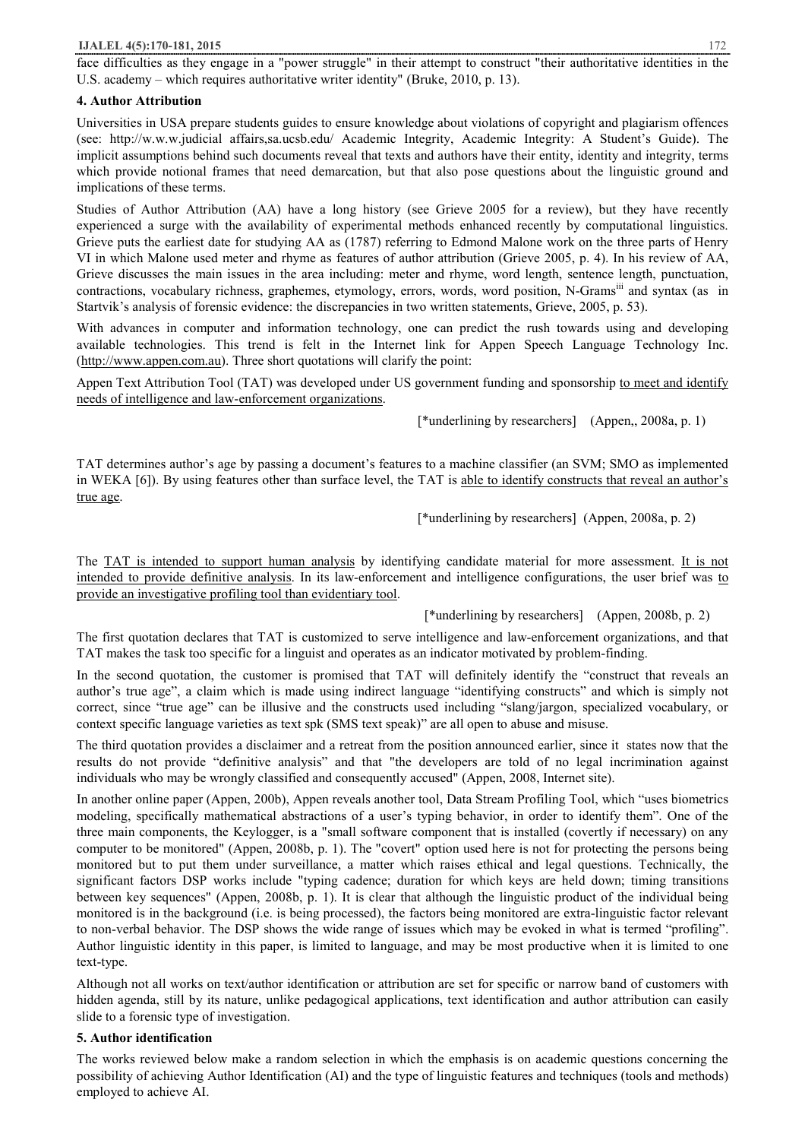face difficulties as they engage in a "power struggle" in their attempt to construct "their authoritative identities in the U.S. academy – which requires authoritative writer identity" (Bruke, 2010, p. 13).

#### **4. Author Attribution**

Universities in USA prepare students guides to ensure knowledge about violations of copyright and plagiarism offences (see: http://w.w.w.judicial affairs,sa.ucsb.edu/ Academic Integrity, Academic Integrity: A Student's Guide). The implicit assumptions behind such documents reveal that texts and authors have their entity, identity and integrity, terms which provide notional frames that need demarcation, but that also pose questions about the linguistic ground and implications of these terms.

Studies of Author Attribution (AA) have a long history (see Grieve 2005 for a review), but they have recently experienced a surge with the availability of experimental methods enhanced recently by computational linguistics. Grieve puts the earliest date for studying AA as (1787) referring to Edmond Malone work on the three parts of Henry VI in which Malone used meter and rhyme as features of author attribution (Grieve 2005, p. 4). In his review of AA, Grieve discusses the main issues in the area including: meter and rhyme, word length, sentence length, punctuation, contractions, vocabulary richness, graphemes, etymology, errors, words, word position, N-Gramsiii and syntax (as in Startvik's analysis of forensic evidence: the discrepancies in two written statements, Grieve, 2005, p. 53).

With advances in computer and information technology, one can predict the rush towards using and developing available technologies. This trend is felt in the Internet link for Appen Speech Language Technology Inc. (http://www.appen.com.au). Three short quotations will clarify the point:

Appen Text Attribution Tool (TAT) was developed under US government funding and sponsorship to meet and identify needs of intelligence and law-enforcement organizations.

[\*underlining by researchers] (Appen,, 2008a, p. 1)

TAT determines author's age by passing a document's features to a machine classifier (an SVM; SMO as implemented in WEKA [6]). By using features other than surface level, the TAT is able to identify constructs that reveal an author's true age.

[\*underlining by researchers] (Appen, 2008a, p. 2)

The TAT is intended to support human analysis by identifying candidate material for more assessment. It is not intended to provide definitive analysis. In its law-enforcement and intelligence configurations, the user brief was to provide an investigative profiling tool than evidentiary tool.

# [\*underlining by researchers] (Appen, 2008b, p. 2)

The first quotation declares that TAT is customized to serve intelligence and law-enforcement organizations, and that TAT makes the task too specific for a linguist and operates as an indicator motivated by problem-finding.

In the second quotation, the customer is promised that TAT will definitely identify the "construct that reveals an author's true age", a claim which is made using indirect language "identifying constructs" and which is simply not correct, since "true age" can be illusive and the constructs used including "slang/jargon, specialized vocabulary, or context specific language varieties as text spk (SMS text speak)" are all open to abuse and misuse.

The third quotation provides a disclaimer and a retreat from the position announced earlier, since it states now that the results do not provide "definitive analysis" and that "the developers are told of no legal incrimination against individuals who may be wrongly classified and consequently accused" (Appen, 2008, Internet site).

In another online paper (Appen, 200b), Appen reveals another tool, Data Stream Profiling Tool, which "uses biometrics modeling, specifically mathematical abstractions of a user's typing behavior, in order to identify them". One of the three main components, the Keylogger, is a "small software component that is installed (covertly if necessary) on any computer to be monitored" (Appen, 2008b, p. 1). The "covert" option used here is not for protecting the persons being monitored but to put them under surveillance, a matter which raises ethical and legal questions. Technically, the significant factors DSP works include "typing cadence; duration for which keys are held down; timing transitions between key sequences" (Appen, 2008b, p. 1). It is clear that although the linguistic product of the individual being monitored is in the background (i.e. is being processed), the factors being monitored are extra-linguistic factor relevant to non-verbal behavior. The DSP shows the wide range of issues which may be evoked in what is termed "profiling". Author linguistic identity in this paper, is limited to language, and may be most productive when it is limited to one text-type.

Although not all works on text/author identification or attribution are set for specific or narrow band of customers with hidden agenda, still by its nature, unlike pedagogical applications, text identification and author attribution can easily slide to a forensic type of investigation.

# **5. Author identification**

The works reviewed below make a random selection in which the emphasis is on academic questions concerning the possibility of achieving Author Identification (AI) and the type of linguistic features and techniques (tools and methods) employed to achieve AI.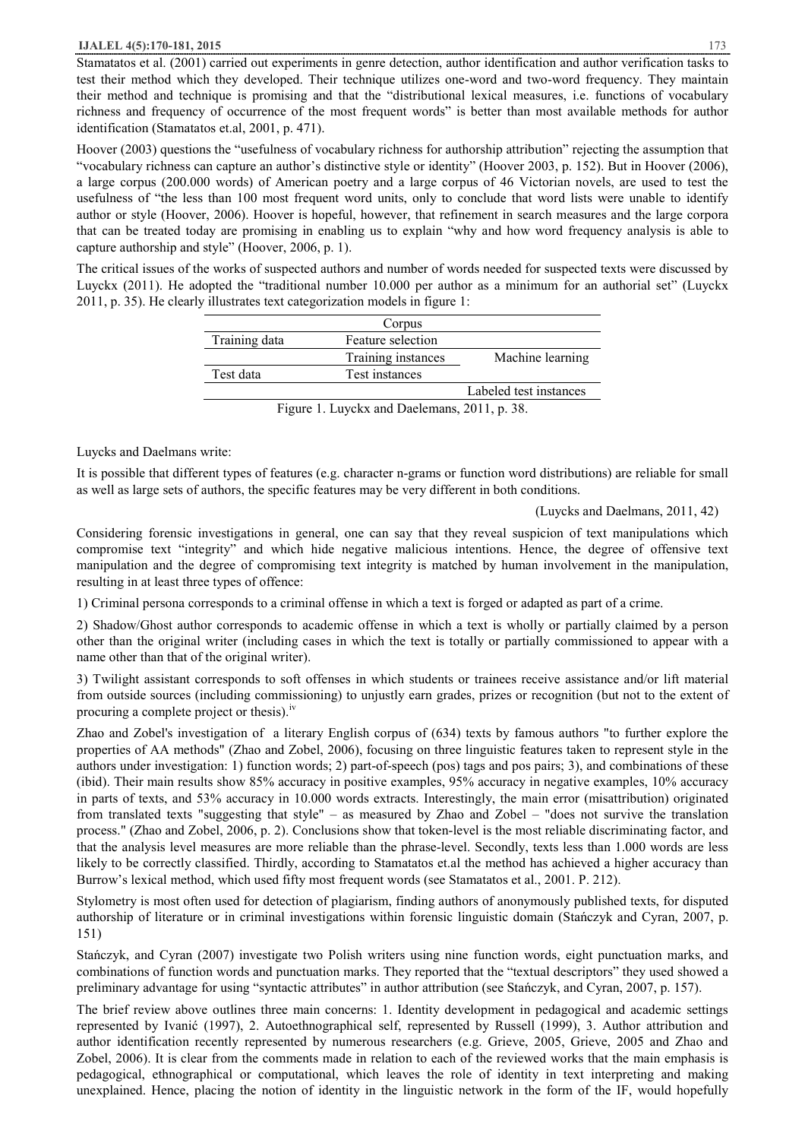Stamatatos et al. (2001) carried out experiments in genre detection, author identification and author verification tasks to test their method which they developed. Their technique utilizes one-word and two-word frequency. They maintain their method and technique is promising and that the "distributional lexical measures, i.e. functions of vocabulary richness and frequency of occurrence of the most frequent words" is better than most available methods for author identification (Stamatatos et.al, 2001, p. 471).

Hoover (2003) questions the "usefulness of vocabulary richness for authorship attribution" rejecting the assumption that "vocabulary richness can capture an author's distinctive style or identity" (Hoover 2003, p. 152). But in Hoover (2006), a large corpus (200.000 words) of American poetry and a large corpus of 46 Victorian novels, are used to test the usefulness of "the less than 100 most frequent word units, only to conclude that word lists were unable to identify author or style (Hoover, 2006). Hoover is hopeful, however, that refinement in search measures and the large corpora that can be treated today are promising in enabling us to explain "why and how word frequency analysis is able to capture authorship and style" (Hoover, 2006, p. 1).

The critical issues of the works of suspected authors and number of words needed for suspected texts were discussed by Luyckx (2011). He adopted the "traditional number 10.000 per author as a minimum for an authorial set" (Luyckx 2011, p. 35). He clearly illustrates text categorization models in figure 1:

|               | Corpus             |                        |
|---------------|--------------------|------------------------|
| Training data | Feature selection  |                        |
|               | Training instances | Machine learning       |
| Test data     | Test instances     |                        |
|               |                    | Labeled test instances |

Figure 1. Luyckx and Daelemans, 2011, p. 38.

Luycks and Daelmans write:

It is possible that different types of features (e.g. character n-grams or function word distributions) are reliable for small as well as large sets of authors, the specific features may be very different in both conditions.

(Luycks and Daelmans, 2011, 42)

Considering forensic investigations in general, one can say that they reveal suspicion of text manipulations which compromise text "integrity" and which hide negative malicious intentions. Hence, the degree of offensive text manipulation and the degree of compromising text integrity is matched by human involvement in the manipulation, resulting in at least three types of offence:

1) Criminal persona corresponds to a criminal offense in which a text is forged or adapted as part of a crime.

2) Shadow/Ghost author corresponds to academic offense in which a text is wholly or partially claimed by a person other than the original writer (including cases in which the text is totally or partially commissioned to appear with a name other than that of the original writer).

3) Twilight assistant corresponds to soft offenses in which students or trainees receive assistance and/or lift material from outside sources (including commissioning) to unjustly earn grades, prizes or recognition (but not to the extent of procuring a complete project or thesis).<sup>iv</sup>

Zhao and Zobel's investigation of a literary English corpus of (634) texts by famous authors "to further explore the properties of AA methods" (Zhao and Zobel, 2006), focusing on three linguistic features taken to represent style in the authors under investigation: 1) function words; 2) part-of-speech (pos) tags and pos pairs; 3), and combinations of these (ibid). Their main results show 85% accuracy in positive examples, 95% accuracy in negative examples, 10% accuracy in parts of texts, and 53% accuracy in 10.000 words extracts. Interestingly, the main error (misattribution) originated from translated texts "suggesting that style" – as measured by Zhao and Zobel – "does not survive the translation process." (Zhao and Zobel, 2006, p. 2). Conclusions show that token-level is the most reliable discriminating factor, and that the analysis level measures are more reliable than the phrase-level. Secondly, texts less than 1.000 words are less likely to be correctly classified. Thirdly, according to Stamatatos et.al the method has achieved a higher accuracy than Burrow's lexical method, which used fifty most frequent words (see Stamatatos et al., 2001. P. 212).

Stylometry is most often used for detection of plagiarism, finding authors of anonymously published texts, for disputed authorship of literature or in criminal investigations within forensic linguistic domain (Stańczyk and Cyran, 2007, p. 151)

Stańczyk, and Cyran (2007) investigate two Polish writers using nine function words, eight punctuation marks, and combinations of function words and punctuation marks. They reported that the "textual descriptors" they used showed a preliminary advantage for using "syntactic attributes" in author attribution (see Stańczyk, and Cyran, 2007, p. 157).

The brief review above outlines three main concerns: 1. Identity development in pedagogical and academic settings represented by Ivanić (1997), 2. Autoethnographical self, represented by Russell (1999), 3. Author attribution and author identification recently represented by numerous researchers (e.g. Grieve, 2005, Grieve, 2005 and Zhao and Zobel, 2006). It is clear from the comments made in relation to each of the reviewed works that the main emphasis is pedagogical, ethnographical or computational, which leaves the role of identity in text interpreting and making unexplained. Hence, placing the notion of identity in the linguistic network in the form of the IF, would hopefully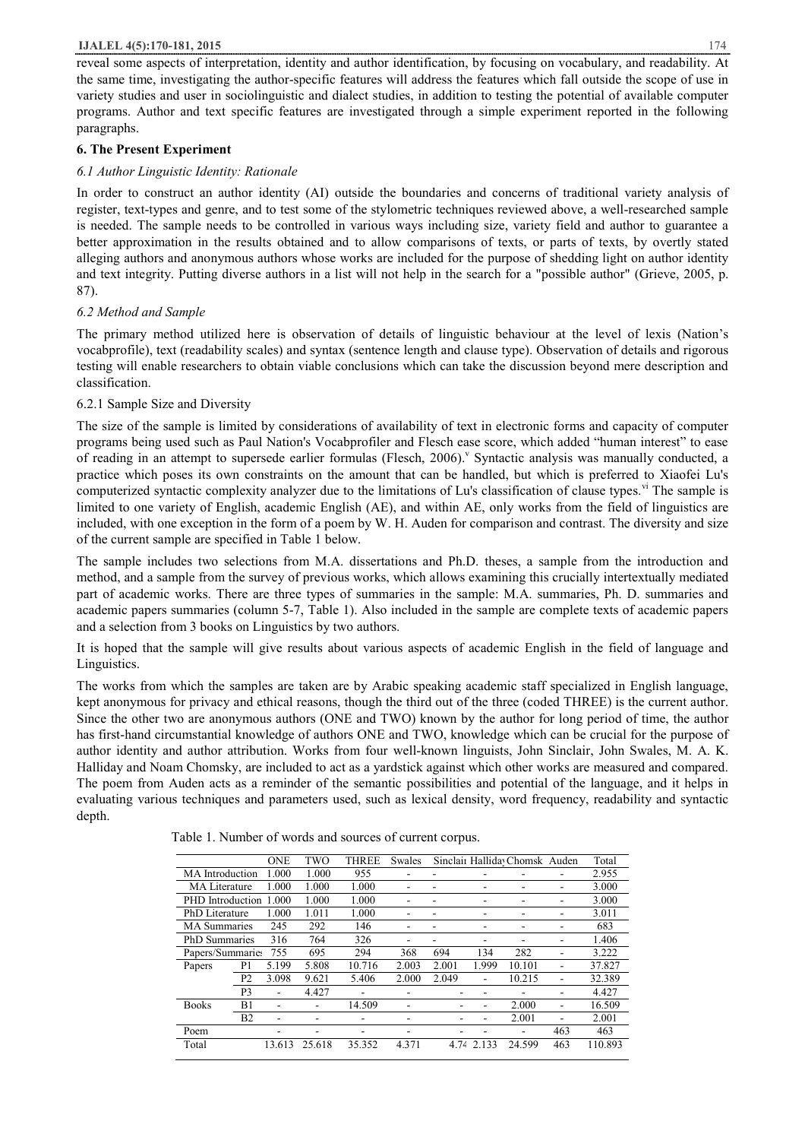reveal some aspects of interpretation, identity and author identification, by focusing on vocabulary, and readability. At the same time, investigating the author-specific features will address the features which fall outside the scope of use in variety studies and user in sociolinguistic and dialect studies, in addition to testing the potential of available computer programs. Author and text specific features are investigated through a simple experiment reported in the following paragraphs.

# **6. The Present Experiment**

## *6.1 Author Linguistic Identity: Rationale*

In order to construct an author identity (AI) outside the boundaries and concerns of traditional variety analysis of register, text-types and genre, and to test some of the stylometric techniques reviewed above, a well-researched sample is needed. The sample needs to be controlled in various ways including size, variety field and author to guarantee a better approximation in the results obtained and to allow comparisons of texts, or parts of texts, by overtly stated alleging authors and anonymous authors whose works are included for the purpose of shedding light on author identity and text integrity. Putting diverse authors in a list will not help in the search for a "possible author" (Grieve, 2005, p. 87).

## *6.2 Method and Sample*

The primary method utilized here is observation of details of linguistic behaviour at the level of lexis (Nation's vocabprofile), text (readability scales) and syntax (sentence length and clause type). Observation of details and rigorous testing will enable researchers to obtain viable conclusions which can take the discussion beyond mere description and classification.

## 6.2.1 Sample Size and Diversity

The size of the sample is limited by considerations of availability of text in electronic forms and capacity of computer programs being used such as Paul Nation's Vocabprofiler and Flesch ease score, which added "human interest" to ease of reading in an attempt to supersede earlier formulas (Flesch, 2006). Syntactic analysis was manually conducted, a practice which poses its own constraints on the amount that can be handled, but which is preferred to Xiaofei Lu's computerized syntactic complexity analyzer due to the limitations of Lu's classification of clause types.<sup>v</sup> The sample is limited to one variety of English, academic English (AE), and within AE, only works from the field of linguistics are included, with one exception in the form of a poem by W. H. Auden for comparison and contrast. The diversity and size of the current sample are specified in Table 1 below.

The sample includes two selections from M.A. dissertations and Ph.D. theses, a sample from the introduction and method, and a sample from the survey of previous works, which allows examining this crucially intertextually mediated part of academic works. There are three types of summaries in the sample: M.A. summaries, Ph. D. summaries and academic papers summaries (column 5-7, Table 1). Also included in the sample are complete texts of academic papers and a selection from 3 books on Linguistics by two authors.

It is hoped that the sample will give results about various aspects of academic English in the field of language and Linguistics.

The works from which the samples are taken are by Arabic speaking academic staff specialized in English language, kept anonymous for privacy and ethical reasons, though the third out of the three (coded THREE) is the current author. Since the other two are anonymous authors (ONE and TWO) known by the author for long period of time, the author has first-hand circumstantial knowledge of authors ONE and TWO, knowledge which can be crucial for the purpose of author identity and author attribution. Works from four well-known linguists, John Sinclair, John Swales, M. A. K. Halliday and Noam Chomsky, are included to act as a yardstick against which other works are measured and compared. The poem from Auden acts as a reminder of the semantic possibilities and potential of the language, and it helps in evaluating various techniques and parameters used, such as lexical density, word frequency, readability and syntactic depth.

|                        |                | <b>ONE</b> | TWO    | <b>THREE</b> | Swales |       |       | Sinclair Halliday Chomsk Auden |     | Total   |
|------------------------|----------------|------------|--------|--------------|--------|-------|-------|--------------------------------|-----|---------|
| <b>MA</b> Introduction |                | 1.000      | 1.000  | 955          |        |       |       |                                |     | 2.955   |
| MA Literature          |                | 1.000      | 1.000  | 1.000        |        |       |       |                                |     | 3.000   |
| PHD Introduction 1.000 |                |            | 1.000  | 1.000        |        |       |       |                                |     | 3.000   |
| <b>PhD</b> Literature  |                | 1.000      | 1.011  | 1.000        |        |       |       |                                |     | 3.011   |
| <b>MA</b> Summaries    |                | 245        | 292    | 146          |        |       |       |                                |     | 683     |
| <b>PhD</b> Summaries   |                | 316        | 764    | 326          |        |       | ۰     |                                |     | 1.406   |
| Papers/Summaries       |                | 755        | 695    | 294          | 368    | 694   | 134   | 282                            |     | 3.222   |
| Papers                 | P1             | 5.199      | 5.808  | 10.716       | 2.003  | 2.001 | 1.999 | 10.101                         |     | 37.827  |
|                        | P <sub>2</sub> | 3.098      | 9.621  | 5.406        | 2.000  | 2.049 | ۰     | 10.215                         |     | 32.389  |
|                        | P3             |            | 4.427  |              |        |       |       |                                |     | 4.427   |
| <b>Books</b>           | B1             | ۰          |        | 14.509       |        |       |       | 2.000                          |     | 16.509  |
|                        | B <sub>2</sub> |            |        |              |        |       |       | 2.001                          |     | 2.001   |
| Poem                   |                |            |        |              |        |       |       |                                | 463 | 463     |
| Total                  |                | 13.613     | 25.618 | 35.352       | 4.371  | 4.74  | 2.133 | 24.599                         | 463 | 110.893 |

Table 1. Number of words and sources of current corpus.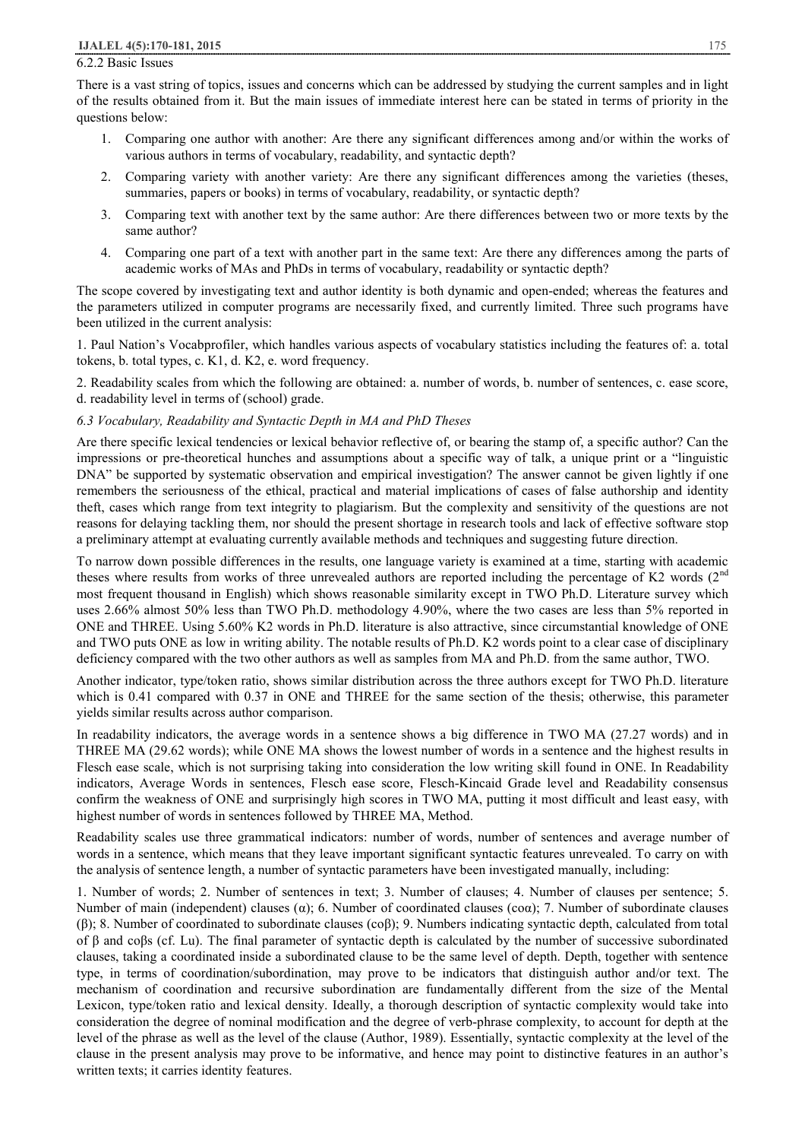#### 6.2.2 Basic Issues

There is a vast string of topics, issues and concerns which can be addressed by studying the current samples and in light of the results obtained from it. But the main issues of immediate interest here can be stated in terms of priority in the questions below:

- 1. Comparing one author with another: Are there any significant differences among and/or within the works of various authors in terms of vocabulary, readability, and syntactic depth?
- 2. Comparing variety with another variety: Are there any significant differences among the varieties (theses, summaries, papers or books) in terms of vocabulary, readability, or syntactic depth?
- 3. Comparing text with another text by the same author: Are there differences between two or more texts by the same author?
- 4. Comparing one part of a text with another part in the same text: Are there any differences among the parts of academic works of MAs and PhDs in terms of vocabulary, readability or syntactic depth?

The scope covered by investigating text and author identity is both dynamic and open-ended; whereas the features and the parameters utilized in computer programs are necessarily fixed, and currently limited. Three such programs have been utilized in the current analysis:

1. Paul Nation's Vocabprofiler, which handles various aspects of vocabulary statistics including the features of: a. total tokens, b. total types, c. K1, d. K2, e. word frequency.

2. Readability scales from which the following are obtained: a. number of words, b. number of sentences, c. ease score, d. readability level in terms of (school) grade.

#### *6.3 Vocabulary, Readability and Syntactic Depth in MA and PhD Theses*

Are there specific lexical tendencies or lexical behavior reflective of, or bearing the stamp of, a specific author? Can the impressions or pre-theoretical hunches and assumptions about a specific way of talk, a unique print or a "linguistic DNA" be supported by systematic observation and empirical investigation? The answer cannot be given lightly if one remembers the seriousness of the ethical, practical and material implications of cases of false authorship and identity theft, cases which range from text integrity to plagiarism. But the complexity and sensitivity of the questions are not reasons for delaying tackling them, nor should the present shortage in research tools and lack of effective software stop a preliminary attempt at evaluating currently available methods and techniques and suggesting future direction.

To narrow down possible differences in the results, one language variety is examined at a time, starting with academic theses where results from works of three unrevealed authors are reported including the percentage of K2 words  $(2<sup>nd</sup>$ most frequent thousand in English) which shows reasonable similarity except in TWO Ph.D. Literature survey which uses 2.66% almost 50% less than TWO Ph.D. methodology 4.90%, where the two cases are less than 5% reported in ONE and THREE. Using 5.60% K2 words in Ph.D. literature is also attractive, since circumstantial knowledge of ONE and TWO puts ONE as low in writing ability. The notable results of Ph.D. K2 words point to a clear case of disciplinary deficiency compared with the two other authors as well as samples from MA and Ph.D. from the same author, TWO.

Another indicator, type/token ratio, shows similar distribution across the three authors except for TWO Ph.D. literature which is 0.41 compared with 0.37 in ONE and THREE for the same section of the thesis; otherwise, this parameter yields similar results across author comparison.

In readability indicators, the average words in a sentence shows a big difference in TWO MA (27.27 words) and in THREE MA (29.62 words); while ONE MA shows the lowest number of words in a sentence and the highest results in Flesch ease scale, which is not surprising taking into consideration the low writing skill found in ONE. In Readability indicators, Average Words in sentences, Flesch ease score, Flesch-Kincaid Grade level and Readability consensus confirm the weakness of ONE and surprisingly high scores in TWO MA, putting it most difficult and least easy, with highest number of words in sentences followed by THREE MA, Method.

Readability scales use three grammatical indicators: number of words, number of sentences and average number of words in a sentence, which means that they leave important significant syntactic features unrevealed. To carry on with the analysis of sentence length, a number of syntactic parameters have been investigated manually, including:

1. Number of words; 2. Number of sentences in text; 3. Number of clauses; 4. Number of clauses per sentence; 5. Number of main (independent) clauses (α); 6. Number of coordinated clauses (coα); 7. Number of subordinate clauses (β); 8. Number of coordinated to subordinate clauses (coβ); 9. Numbers indicating syntactic depth, calculated from total of β and coβs (cf. Lu). The final parameter of syntactic depth is calculated by the number of successive subordinated clauses, taking a coordinated inside a subordinated clause to be the same level of depth. Depth, together with sentence type, in terms of coordination/subordination, may prove to be indicators that distinguish author and/or text. The mechanism of coordination and recursive subordination are fundamentally different from the size of the Mental Lexicon, type/token ratio and lexical density. Ideally, a thorough description of syntactic complexity would take into consideration the degree of nominal modification and the degree of verb-phrase complexity, to account for depth at the level of the phrase as well as the level of the clause (Author, 1989). Essentially, syntactic complexity at the level of the clause in the present analysis may prove to be informative, and hence may point to distinctive features in an author's written texts; it carries identity features.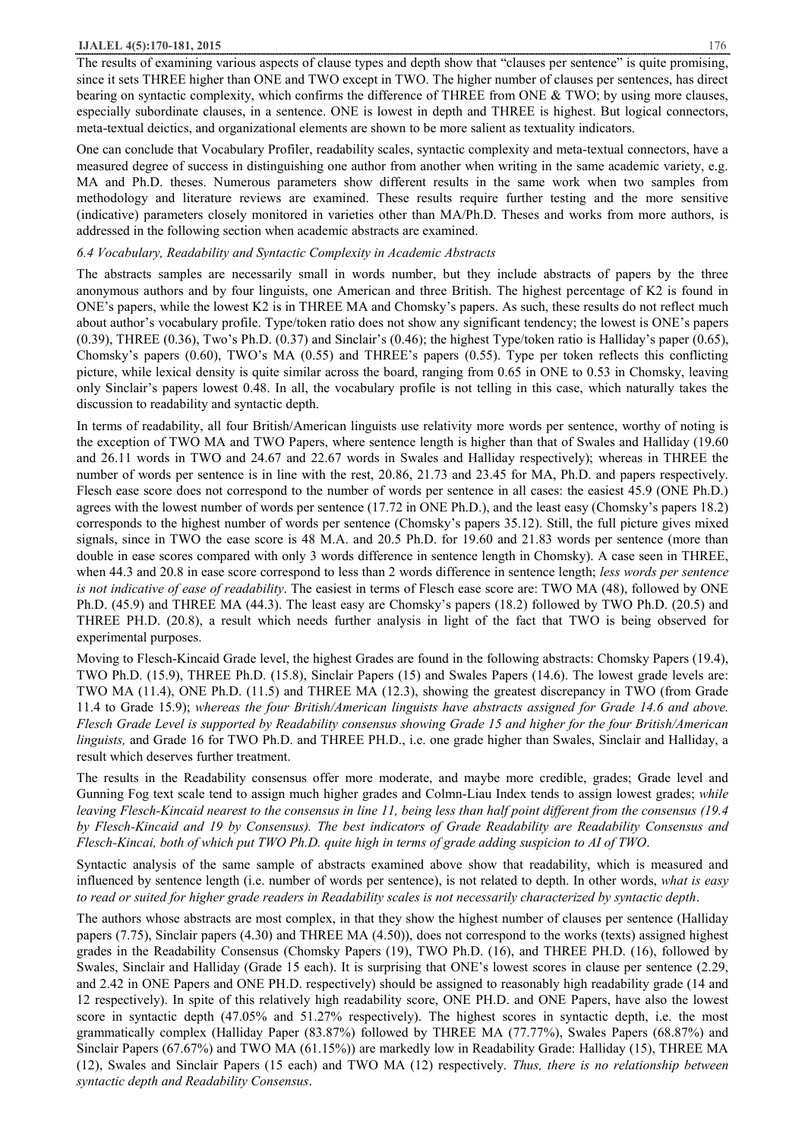The results of examining various aspects of clause types and depth show that "clauses per sentence" is quite promising, since it sets THREE higher than ONE and TWO except in TWO. The higher number of clauses per sentences, has direct bearing on syntactic complexity, which confirms the difference of THREE from ONE & TWO; by using more clauses, especially subordinate clauses, in a sentence. ONE is lowest in depth and THREE is highest. But logical connectors, meta-textual deictics, and organizational elements are shown to be more salient as textuality indicators.

One can conclude that Vocabulary Profiler, readability scales, syntactic complexity and meta-textual connectors, have a measured degree of success in distinguishing one author from another when writing in the same academic variety, e.g. MA and Ph.D. theses. Numerous parameters show different results in the same work when two samples from methodology and literature reviews are examined. These results require further testing and the more sensitive (indicative) parameters closely monitored in varieties other than MA/Ph.D. Theses and works from more authors, is addressed in the following section when academic abstracts are examined.

#### *6.4 Vocabulary, Readability and Syntactic Complexity in Academic Abstracts*

The abstracts samples are necessarily small in words number, but they include abstracts of papers by the three anonymous authors and by four linguists, one American and three British. The highest percentage of K2 is found in ONE's papers, while the lowest K2 is in THREE MA and Chomsky's papers. As such, these results do not reflect much about author's vocabulary profile. Type/token ratio does not show any significant tendency; the lowest is ONE's papers  $(0.39)$ , THREE  $(0.36)$ , Two's Ph.D.  $(0.37)$  and Sinclair's  $(0.46)$ ; the highest Type/token ratio is Halliday's paper  $(0.65)$ , Chomsky's papers (0.60), TWO's MA (0.55) and THREE's papers (0.55). Type per token reflects this conflicting picture, while lexical density is quite similar across the board, ranging from 0.65 in ONE to 0.53 in Chomsky, leaving only Sinclair's papers lowest 0.48. In all, the vocabulary profile is not telling in this case, which naturally takes the discussion to readability and syntactic depth.

In terms of readability, all four British/American linguists use relativity more words per sentence, worthy of noting is the exception of TWO MA and TWO Papers, where sentence length is higher than that of Swales and Halliday (19.60 and 26.11 words in TWO and 24.67 and 22.67 words in Swales and Halliday respectively); whereas in THREE the number of words per sentence is in line with the rest, 20.86, 21.73 and 23.45 for MA, Ph.D. and papers respectively. Flesch ease score does not correspond to the number of words per sentence in all cases: the easiest 45.9 (ONE Ph.D.) agrees with the lowest number of words per sentence (17.72 in ONE Ph.D.), and the least easy (Chomsky's papers 18.2) corresponds to the highest number of words per sentence (Chomsky's papers 35.12). Still, the full picture gives mixed signals, since in TWO the ease score is 48 M.A. and 20.5 Ph.D. for 19.60 and 21.83 words per sentence (more than double in ease scores compared with only 3 words difference in sentence length in Chomsky). A case seen in THREE, when 44.3 and 20.8 in ease score correspond to less than 2 words difference in sentence length; *less words per sentence is not indicative of ease of readability*. The easiest in terms of Flesch ease score are: TWO MA (48), followed by ONE Ph.D. (45.9) and THREE MA (44.3). The least easy are Chomsky's papers (18.2) followed by TWO Ph.D. (20.5) and THREE PH.D. (20.8), a result which needs further analysis in light of the fact that TWO is being observed for experimental purposes.

Moving to Flesch-Kincaid Grade level, the highest Grades are found in the following abstracts: Chomsky Papers (19.4), TWO Ph.D. (15.9), THREE Ph.D. (15.8), Sinclair Papers (15) and Swales Papers (14.6). The lowest grade levels are: TWO MA (11.4), ONE Ph.D. (11.5) and THREE MA (12.3), showing the greatest discrepancy in TWO (from Grade 11.4 to Grade 15.9); *whereas the four British/American linguists have abstracts assigned for Grade 14.6 and above.*  Flesch Grade Level is supported by Readability consensus showing Grade 15 and higher for the four British/American *linguists,* and Grade 16 for TWO Ph.D. and THREE PH.D., i.e. one grade higher than Swales, Sinclair and Halliday, a result which deserves further treatment.

The results in the Readability consensus offer more moderate, and maybe more credible, grades; Grade level and Gunning Fog text scale tend to assign much higher grades and Colmn-Liau Index tends to assign lowest grades; *while*  leaving Flesch-Kincaid nearest to the consensus in line 11, being less than half point different from the consensus (19.4 *by Flesch-Kincaid and 19 by Consensus). The best indicators of Grade Readability are Readability Consensus and Flesch-Kincai, both of which put TWO Ph.D. quite high in terms of grade adding suspicion to AI of TWO*.

Syntactic analysis of the same sample of abstracts examined above show that readability, which is measured and influenced by sentence length (i.e. number of words per sentence), is not related to depth. In other words, *what is easy*  to read or suited for higher grade readers in Readability scales is not necessarily characterized by syntactic depth.

The authors whose abstracts are most complex, in that they show the highest number of clauses per sentence (Halliday papers (7.75), Sinclair papers (4.30) and THREE MA (4.50)), does not correspond to the works (texts) assigned highest grades in the Readability Consensus (Chomsky Papers (19), TWO Ph.D. (16), and THREE PH.D. (16), followed by Swales, Sinclair and Halliday (Grade 15 each). It is surprising that ONE's lowest scores in clause per sentence (2.29, and 2.42 in ONE Papers and ONE PH.D. respectively) should be assigned to reasonably high readability grade (14 and 12 respectively). In spite of this relatively high readability score, ONE PH.D. and ONE Papers, have also the lowest score in syntactic depth (47.05% and 51.27% respectively). The highest scores in syntactic depth, i.e. the most grammatically complex (Halliday Paper (83.87%) followed by THREE MA (77.77%), Swales Papers (68.87%) and Sinclair Papers (67.67%) and TWO MA (61.15%)) are markedly low in Readability Grade: Halliday (15), THREE MA (12), Swales and Sinclair Papers (15 each) and TWO MA (12) respectively. *Thus, there is no relationship between syntactic depth and Readability Consensus*.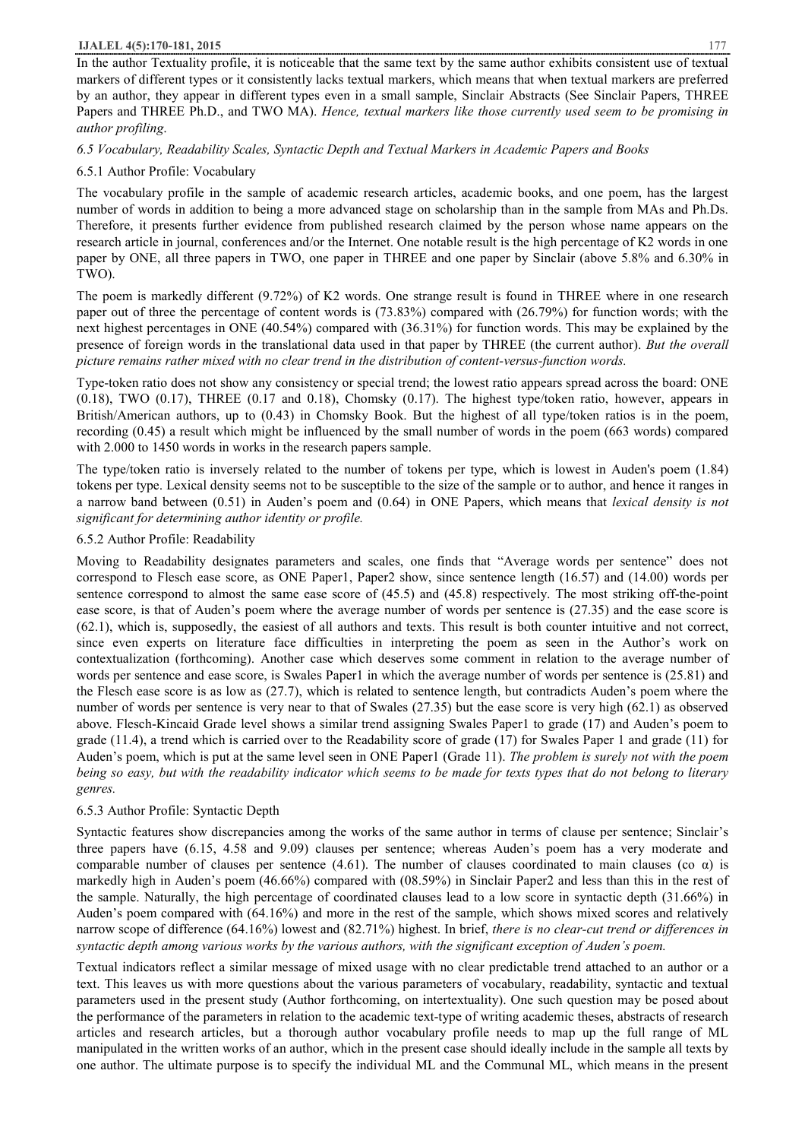In the author Textuality profile, it is noticeable that the same text by the same author exhibits consistent use of textual markers of different types or it consistently lacks textual markers, which means that when textual markers are preferred by an author, they appear in different types even in a small sample, Sinclair Abstracts (See Sinclair Papers, THREE Papers and THREE Ph.D., and TWO MA). *Hence, textual markers like those currently used seem to be promising in author profiling*.

# *6.5 Vocabulary, Readability Scales, Syntactic Depth and Textual Markers in Academic Papers and Books*

# 6.5.1 Author Profile: Vocabulary

The vocabulary profile in the sample of academic research articles, academic books, and one poem, has the largest number of words in addition to being a more advanced stage on scholarship than in the sample from MAs and Ph.Ds. Therefore, it presents further evidence from published research claimed by the person whose name appears on the research article in journal, conferences and/or the Internet. One notable result is the high percentage of K2 words in one paper by ONE, all three papers in TWO, one paper in THREE and one paper by Sinclair (above 5.8% and 6.30% in TWO).

The poem is markedly different (9.72%) of K2 words. One strange result is found in THREE where in one research paper out of three the percentage of content words is (73.83%) compared with (26.79%) for function words; with the next highest percentages in ONE (40.54%) compared with (36.31%) for function words. This may be explained by the presence of foreign words in the translational data used in that paper by THREE (the current author). *But the overall picture remains rather mixed with no clear trend in the distribution of content-versus-function words.*

Type-token ratio does not show any consistency or special trend; the lowest ratio appears spread across the board: ONE (0.18), TWO (0.17), THREE (0.17 and 0.18), Chomsky (0.17). The highest type/token ratio, however, appears in British/American authors, up to (0.43) in Chomsky Book. But the highest of all type/token ratios is in the poem, recording (0.45) a result which might be influenced by the small number of words in the poem (663 words) compared with 2.000 to 1450 words in works in the research papers sample.

The type/token ratio is inversely related to the number of tokens per type, which is lowest in Auden's poem (1.84) tokens per type. Lexical density seems not to be susceptible to the size of the sample or to author, and hence it ranges in a narrow band between (0.51) in Auden's poem and (0.64) in ONE Papers, which means that *lexical density is not significant for determining author identity or profile.*

# 6.5.2 Author Profile: Readability

Moving to Readability designates parameters and scales, one finds that "Average words per sentence" does not correspond to Flesch ease score, as ONE Paper1, Paper2 show, since sentence length (16.57) and (14.00) words per sentence correspond to almost the same ease score of (45.5) and (45.8) respectively. The most striking off-the-point ease score, is that of Auden's poem where the average number of words per sentence is (27.35) and the ease score is (62.1), which is, supposedly, the easiest of all authors and texts. This result is both counter intuitive and not correct, since even experts on literature face difficulties in interpreting the poem as seen in the Author's work on contextualization (forthcoming). Another case which deserves some comment in relation to the average number of words per sentence and ease score, is Swales Paper1 in which the average number of words per sentence is (25.81) and the Flesch ease score is as low as (27.7), which is related to sentence length, but contradicts Auden's poem where the number of words per sentence is very near to that of Swales (27.35) but the ease score is very high (62.1) as observed above. Flesch-Kincaid Grade level shows a similar trend assigning Swales Paper1 to grade (17) and Auden's poem to grade (11.4), a trend which is carried over to the Readability score of grade (17) for Swales Paper 1 and grade (11) for Auden's poem, which is put at the same level seen in ONE Paper1 (Grade 11). *The problem is surely not with the poem*  being so easy, but with the readability indicator which seems to be made for texts types that do not belong to literary *genres.*

# 6.5.3 Author Profile: Syntactic Depth

Syntactic features show discrepancies among the works of the same author in terms of clause per sentence; Sinclair's three papers have (6.15, 4.58 and 9.09) clauses per sentence; whereas Auden's poem has a very moderate and comparable number of clauses per sentence (4.61). The number of clauses coordinated to main clauses (co  $\alpha$ ) is markedly high in Auden's poem (46.66%) compared with (08.59%) in Sinclair Paper2 and less than this in the rest of the sample. Naturally, the high percentage of coordinated clauses lead to a low score in syntactic depth (31.66%) in Auden's poem compared with (64.16%) and more in the rest of the sample, which shows mixed scores and relatively narrow scope of difference (64.16%) lowest and (82.71%) highest. In brief, *there is no clear-cut trend or differences in syntactic depth among various works by the various authors, with the significant exception of Auden's poem.* 

Textual indicators reflect a similar message of mixed usage with no clear predictable trend attached to an author or a text. This leaves us with more questions about the various parameters of vocabulary, readability, syntactic and textual parameters used in the present study (Author forthcoming, on intertextuality). One such question may be posed about the performance of the parameters in relation to the academic text-type of writing academic theses, abstracts of research articles and research articles, but a thorough author vocabulary profile needs to map up the full range of ML manipulated in the written works of an author, which in the present case should ideally include in the sample all texts by one author. The ultimate purpose is to specify the individual ML and the Communal ML, which means in the present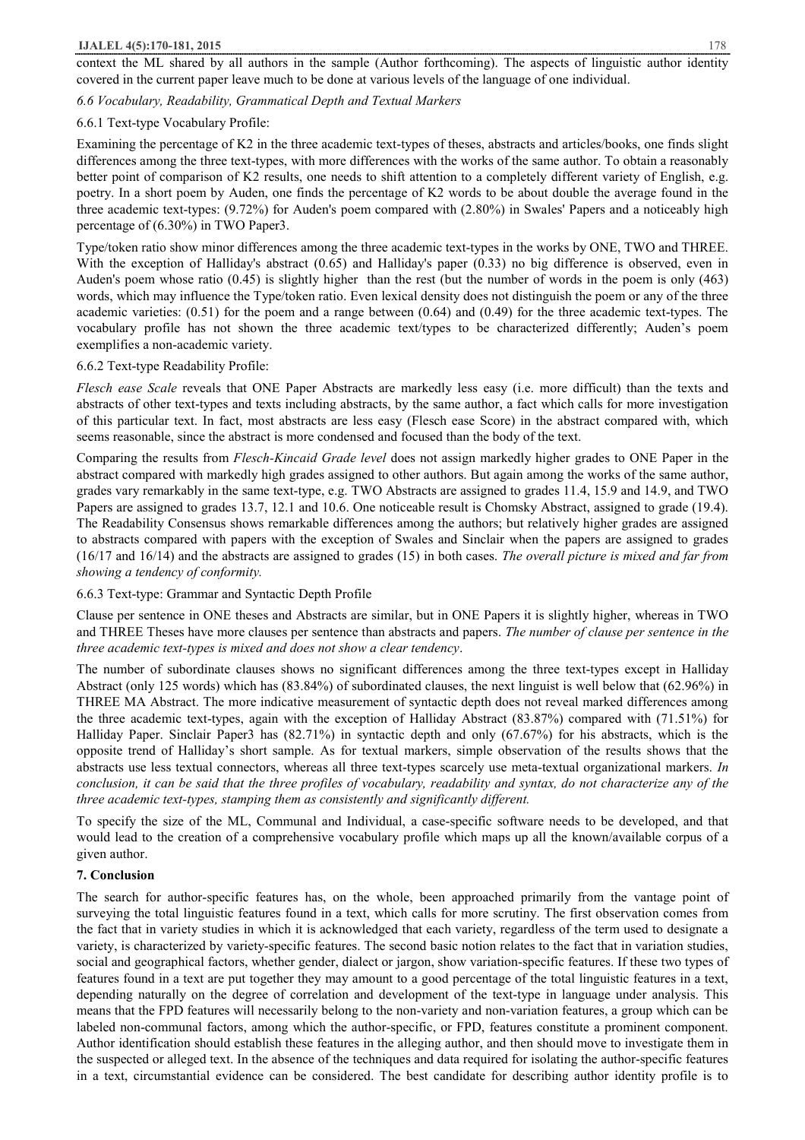context the ML shared by all authors in the sample (Author forthcoming). The aspects of linguistic author identity covered in the current paper leave much to be done at various levels of the language of one individual.

*6.6 Vocabulary, Readability, Grammatical Depth and Textual Markers* 

## 6.6.1 Text-type Vocabulary Profile:

Examining the percentage of K2 in the three academic text-types of theses, abstracts and articles/books, one finds slight differences among the three text-types, with more differences with the works of the same author. To obtain a reasonably better point of comparison of K2 results, one needs to shift attention to a completely different variety of English, e.g. poetry. In a short poem by Auden, one finds the percentage of K2 words to be about double the average found in the three academic text-types: (9.72%) for Auden's poem compared with (2.80%) in Swales' Papers and a noticeably high percentage of (6.30%) in TWO Paper3.

Type/token ratio show minor differences among the three academic text-types in the works by ONE, TWO and THREE. With the exception of Halliday's abstract (0.65) and Halliday's paper (0.33) no big difference is observed, even in Auden's poem whose ratio (0.45) is slightly higher than the rest (but the number of words in the poem is only (463) words, which may influence the Type/token ratio. Even lexical density does not distinguish the poem or any of the three academic varieties:  $(0.51)$  for the poem and a range between  $(0.64)$  and  $(0.49)$  for the three academic text-types. The vocabulary profile has not shown the three academic text/types to be characterized differently; Auden's poem exemplifies a non-academic variety.

## 6.6.2 Text-type Readability Profile:

*Flesch ease Scale* reveals that ONE Paper Abstracts are markedly less easy (i.e. more difficult) than the texts and abstracts of other text-types and texts including abstracts, by the same author, a fact which calls for more investigation of this particular text. In fact, most abstracts are less easy (Flesch ease Score) in the abstract compared with, which seems reasonable, since the abstract is more condensed and focused than the body of the text.

Comparing the results from *Flesch-Kincaid Grade level* does not assign markedly higher grades to ONE Paper in the abstract compared with markedly high grades assigned to other authors. But again among the works of the same author, grades vary remarkably in the same text-type, e.g. TWO Abstracts are assigned to grades 11.4, 15.9 and 14.9, and TWO Papers are assigned to grades 13.7, 12.1 and 10.6. One noticeable result is Chomsky Abstract, assigned to grade (19.4). The Readability Consensus shows remarkable differences among the authors; but relatively higher grades are assigned to abstracts compared with papers with the exception of Swales and Sinclair when the papers are assigned to grades (16/17 and 16/14) and the abstracts are assigned to grades (15) in both cases. *The overall picture is mixed and far from showing a tendency of conformity.*

6.6.3 Text-type: Grammar and Syntactic Depth Profile

Clause per sentence in ONE theses and Abstracts are similar, but in ONE Papers it is slightly higher, whereas in TWO and THREE Theses have more clauses per sentence than abstracts and papers. *The number of clause per sentence in the three academic text-types is mixed and does not show a clear tendency*.

The number of subordinate clauses shows no significant differences among the three text-types except in Halliday Abstract (only 125 words) which has (83.84%) of subordinated clauses, the next linguist is well below that (62.96%) in THREE MA Abstract. The more indicative measurement of syntactic depth does not reveal marked differences among the three academic text-types, again with the exception of Halliday Abstract (83.87%) compared with (71.51%) for Halliday Paper. Sinclair Paper3 has (82.71%) in syntactic depth and only (67.67%) for his abstracts, which is the opposite trend of Halliday's short sample. As for textual markers, simple observation of the results shows that the abstracts use less textual connectors, whereas all three text-types scarcely use meta-textual organizational markers. *In*  conclusion, it can be said that the three profiles of vocabulary, readability and syntax, do not characterize any of the *three academic text-types, stamping them as consistently and significantly different.* 

To specify the size of the ML, Communal and Individual, a case-specific software needs to be developed, and that would lead to the creation of a comprehensive vocabulary profile which maps up all the known/available corpus of a given author.

# **7. Conclusion**

The search for author-specific features has, on the whole, been approached primarily from the vantage point of surveying the total linguistic features found in a text, which calls for more scrutiny. The first observation comes from the fact that in variety studies in which it is acknowledged that each variety, regardless of the term used to designate a variety, is characterized by variety-specific features. The second basic notion relates to the fact that in variation studies, social and geographical factors, whether gender, dialect or jargon, show variation-specific features. If these two types of features found in a text are put together they may amount to a good percentage of the total linguistic features in a text, depending naturally on the degree of correlation and development of the text-type in language under analysis. This means that the FPD features will necessarily belong to the non-variety and non-variation features, a group which can be labeled non-communal factors, among which the author-specific, or FPD, features constitute a prominent component. Author identification should establish these features in the alleging author, and then should move to investigate them in the suspected or alleged text. In the absence of the techniques and data required for isolating the author-specific features in a text, circumstantial evidence can be considered. The best candidate for describing author identity profile is to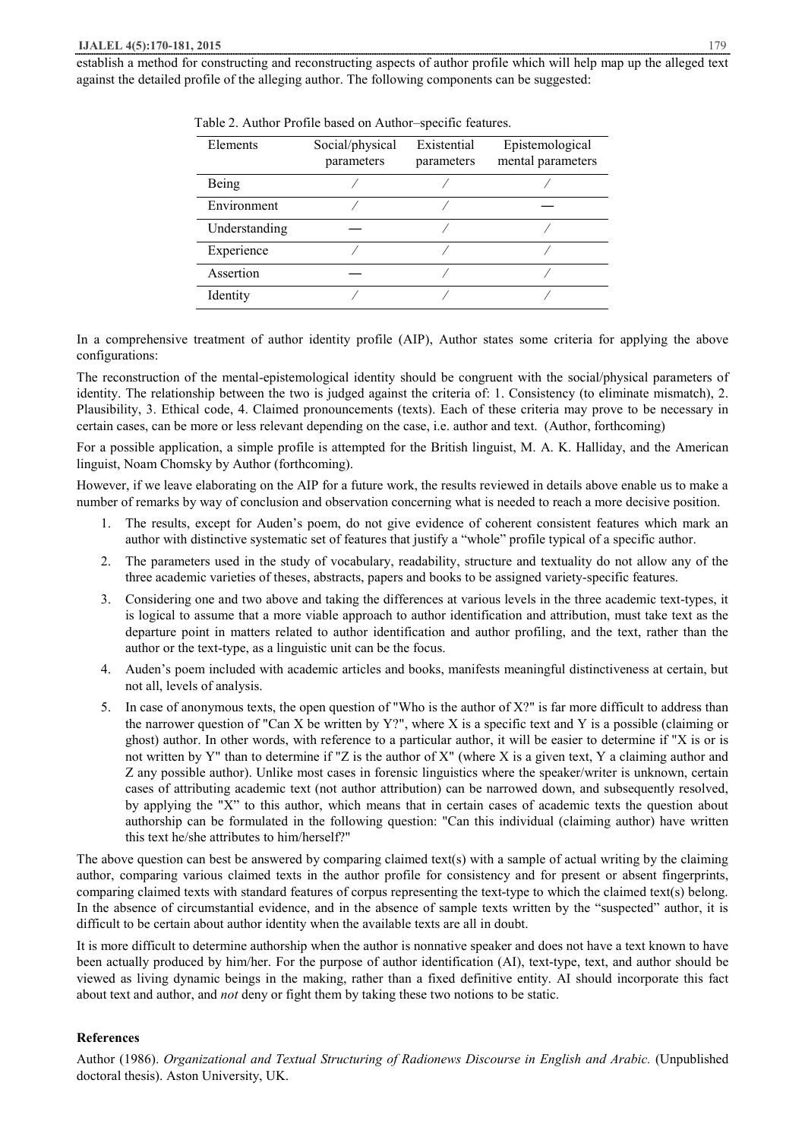| Elements      | Social/physical<br>parameters | Existential<br>parameters | Epistemological<br>mental parameters |
|---------------|-------------------------------|---------------------------|--------------------------------------|
| Being         |                               |                           |                                      |
| Environment   |                               |                           |                                      |
| Understanding |                               |                           |                                      |
| Experience    |                               |                           |                                      |
| Assertion     |                               |                           |                                      |
| Identity      |                               |                           |                                      |

Table 2. Author Profile based on Author–specific features.

In a comprehensive treatment of author identity profile (AIP), Author states some criteria for applying the above configurations:

The reconstruction of the mental-epistemological identity should be congruent with the social/physical parameters of identity. The relationship between the two is judged against the criteria of: 1. Consistency (to eliminate mismatch), 2. Plausibility, 3. Ethical code, 4. Claimed pronouncements (texts). Each of these criteria may prove to be necessary in certain cases, can be more or less relevant depending on the case, i.e. author and text. (Author, forthcoming)

For a possible application, a simple profile is attempted for the British linguist, M. A. K. Halliday, and the American linguist, Noam Chomsky by Author (forthcoming).

However, if we leave elaborating on the AIP for a future work, the results reviewed in details above enable us to make a number of remarks by way of conclusion and observation concerning what is needed to reach a more decisive position.

- 1. The results, except for Auden's poem, do not give evidence of coherent consistent features which mark an author with distinctive systematic set of features that justify a "whole" profile typical of a specific author.
- 2. The parameters used in the study of vocabulary, readability, structure and textuality do not allow any of the three academic varieties of theses, abstracts, papers and books to be assigned variety-specific features.
- 3. Considering one and two above and taking the differences at various levels in the three academic text-types, it is logical to assume that a more viable approach to author identification and attribution, must take text as the departure point in matters related to author identification and author profiling, and the text, rather than the author or the text-type, as a linguistic unit can be the focus.
- 4. Auden's poem included with academic articles and books, manifests meaningful distinctiveness at certain, but not all, levels of analysis.
- 5. In case of anonymous texts, the open question of "Who is the author of X?" is far more difficult to address than the narrower question of "Can X be written by Y?", where X is a specific text and Y is a possible (claiming or ghost) author. In other words, with reference to a particular author, it will be easier to determine if "X is or is not written by Y" than to determine if "Z is the author of X" (where X is a given text, Y a claiming author and Z any possible author). Unlike most cases in forensic linguistics where the speaker/writer is unknown, certain cases of attributing academic text (not author attribution) can be narrowed down, and subsequently resolved, by applying the "X" to this author, which means that in certain cases of academic texts the question about authorship can be formulated in the following question: "Can this individual (claiming author) have written this text he/she attributes to him/herself?"

The above question can best be answered by comparing claimed text(s) with a sample of actual writing by the claiming author, comparing various claimed texts in the author profile for consistency and for present or absent fingerprints, comparing claimed texts with standard features of corpus representing the text-type to which the claimed text(s) belong. In the absence of circumstantial evidence, and in the absence of sample texts written by the "suspected" author, it is difficult to be certain about author identity when the available texts are all in doubt.

It is more difficult to determine authorship when the author is nonnative speaker and does not have a text known to have been actually produced by him/her. For the purpose of author identification (AI), text-type, text, and author should be viewed as living dynamic beings in the making, rather than a fixed definitive entity. AI should incorporate this fact about text and author, and *not* deny or fight them by taking these two notions to be static.

# **References**

Author (1986). *Organizational and Textual Structuring of Radionews Discourse in English and Arabic.* (Unpublished doctoral thesis). Aston University, UK.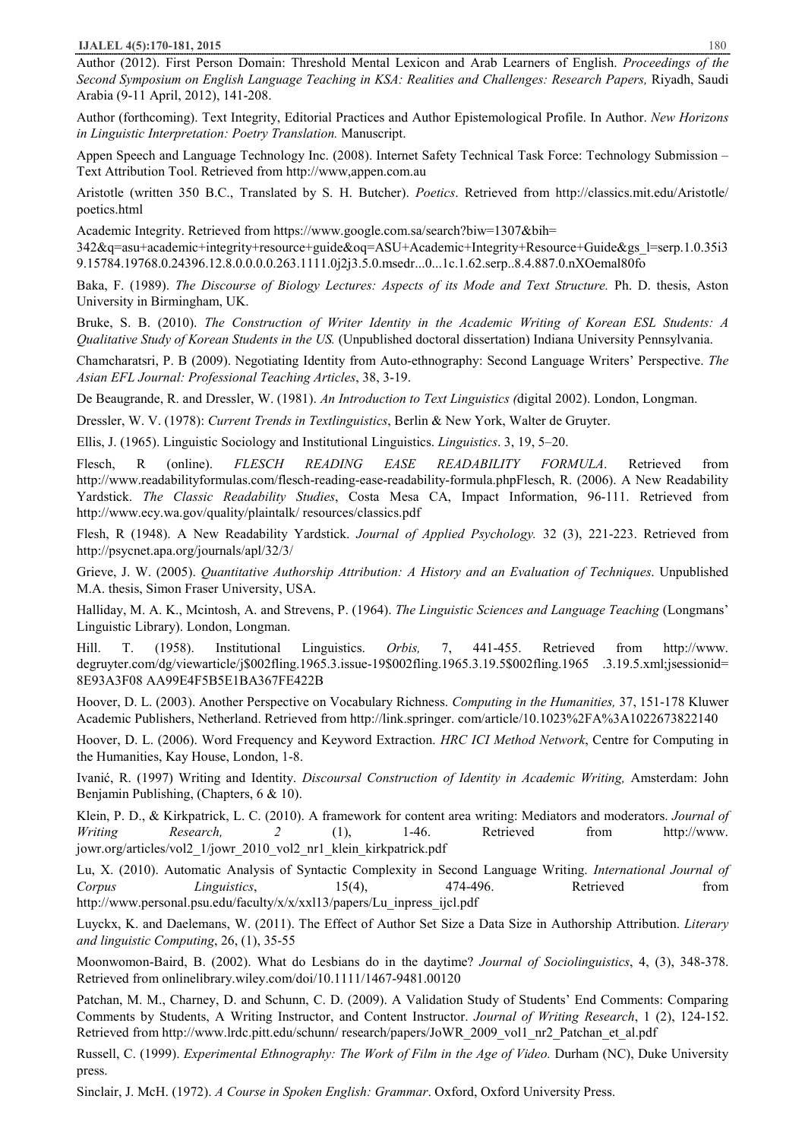Author (2012). First Person Domain: Threshold Mental Lexicon and Arab Learners of English. *Proceedings of the Second Symposium on English Language Teaching in KSA: Realities and Challenges: Research Papers,* Riyadh, Saudi Arabia (9-11 April, 2012), 141-208.

Author (forthcoming). Text Integrity, Editorial Practices and Author Epistemological Profile. In Author. *New Horizons in Linguistic Interpretation: Poetry Translation.* Manuscript.

Appen Speech and Language Technology Inc. (2008). Internet Safety Technical Task Force: Technology Submission – Text Attribution Tool. Retrieved from http://www,appen.com.au

Aristotle (written 350 B.C., Translated by S. H. Butcher). *Poetics*. Retrieved from http://classics.mit.edu/Aristotle/ poetics.html

Academic Integrity. Retrieved from https://www.google.com.sa/search?biw=1307&bih=

342&q=asu+academic+integrity+resource+guide&oq=ASU+Academic+Integrity+Resource+Guide&gs\_l=serp.1.0.35i3 9.15784.19768.0.24396.12.8.0.0.0.0.263.1111.0j2j3.5.0.msedr...0...1c.1.62.serp..8.4.887.0.nXOemal80fo

Baka, F. (1989). *The Discourse of Biology Lectures: Aspects of its Mode and Text Structure.* Ph. D. thesis, Aston University in Birmingham, UK.

Bruke, S. B. (2010). *The Construction of Writer Identity in the Academic Writing of Korean ESL Students: A Qualitative Study of Korean Students in the US.* (Unpublished doctoral dissertation) Indiana University Pennsylvania.

Chamcharatsri, P. B (2009). Negotiating Identity from Auto-ethnography: Second Language Writers' Perspective. *The Asian EFL Journal: Professional Teaching Articles*, 38, 3-19.

De Beaugrande, R. and Dressler, W. (1981). *An Introduction to Text Linguistics (*digital 2002). London, Longman.

Dressler, W. V. (1978): *Current Trends in Textlinguistics*, Berlin & New York, Walter de Gruyter.

Ellis, J. (1965). Linguistic Sociology and Institutional Linguistics. *Linguistics*. 3, 19, 5–20.

Flesch, R (online). *FLESCH READING EASE READABILITY FORMULA*. Retrieved from http://www.readabilityformulas.com/flesch-reading-ease-readability-formula.phpFlesch, R. (2006). A New Readability Yardstick. *The Classic Readability Studies*, Costa Mesa CA, Impact Information, 96-111. Retrieved from http://www.ecy.wa.gov/quality/plaintalk/ resources/classics.pdf

Flesh, R (1948). A New Readability Yardstick. *Journal of Applied Psychology.* 32 (3), 221-223. Retrieved from http://psycnet.apa.org/journals/apl/32/3/

Grieve, J. W. (2005). *Quantitative Authorship Attribution: A History and an Evaluation of Techniques*. Unpublished M.A. thesis, Simon Fraser University, USA.

Halliday, M. A. K., Mcintosh, A. and Strevens, P. (1964). *The Linguistic Sciences and Language Teaching* (Longmans' Linguistic Library). London, Longman.

Hill. T. (1958). Institutional Linguistics. *Orbis,* 7, 441-455. Retrieved from http://www. degruyter.com/dg/viewarticle/j\$002fling.1965.3.issue-19\$002fling.1965.3.19.5\$002fling.1965 .3.19.5.xml;jsessionid= 8E93A3F08 AA99E4F5B5E1BA367FE422B

Hoover, D. L. (2003). Another Perspective on Vocabulary Richness. *Computing in the Humanities,* 37, 151-178 Kluwer Academic Publishers, Netherland. Retrieved from http://link.springer. com/article/10.1023%2FA%3A1022673822140

Hoover, D. L. (2006). Word Frequency and Keyword Extraction. *HRC ICI Method Network*, Centre for Computing in the Humanities, Kay House, London, 1-8.

Ivanić, R. (1997) Writing and Identity. *Discoursal Construction of Identity in Academic Writing,* Amsterdam: John Benjamin Publishing, (Chapters, 6 & 10).

Klein, P. D., & Kirkpatrick, L. C. (2010). A framework for content area writing: Mediators and moderators. *Journal of Writing Research, 2* (1), 1-46. Retrieved from http://www. jowr.org/articles/vol2\_1/jowr\_2010\_vol2\_nr1\_klein\_kirkpatrick.pdf

Lu, X. (2010). Automatic Analysis of Syntactic Complexity in Second Language Writing. *International Journal of Corpus Linguistics*, 15(4), 474-496. Retrieved from http://www.personal.psu.edu/faculty/x/x/xxl13/papers/Lu\_inpress\_ijcl.pdf

Luyckx, K. and Daelemans, W. (2011). The Effect of Author Set Size a Data Size in Authorship Attribution. *Literary and linguistic Computing*, 26, (1), 35-55

Moonwomon-Baird, B. (2002). What do Lesbians do in the daytime? *Journal of Sociolinguistics*, 4, (3), 348-378. Retrieved from onlinelibrary.wiley.com/doi/10.1111/1467-9481.00120

Patchan, M. M., Charney, D. and Schunn, C. D. (2009). A Validation Study of Students' End Comments: Comparing Comments by Students, A Writing Instructor, and Content Instructor. *Journal of Writing Research*, 1 (2), 124-152. Retrieved from http://www.lrdc.pitt.edu/schunn/ research/papers/JoWR\_2009\_vol1\_nr2\_Patchan\_et\_al.pdf

Russell, C. (1999). *Experimental Ethnography: The Work of Film in the Age of Video.* Durham (NC), Duke University press.

Sinclair, J. McH. (1972). *A Course in Spoken English: Grammar*. Oxford, Oxford University Press.